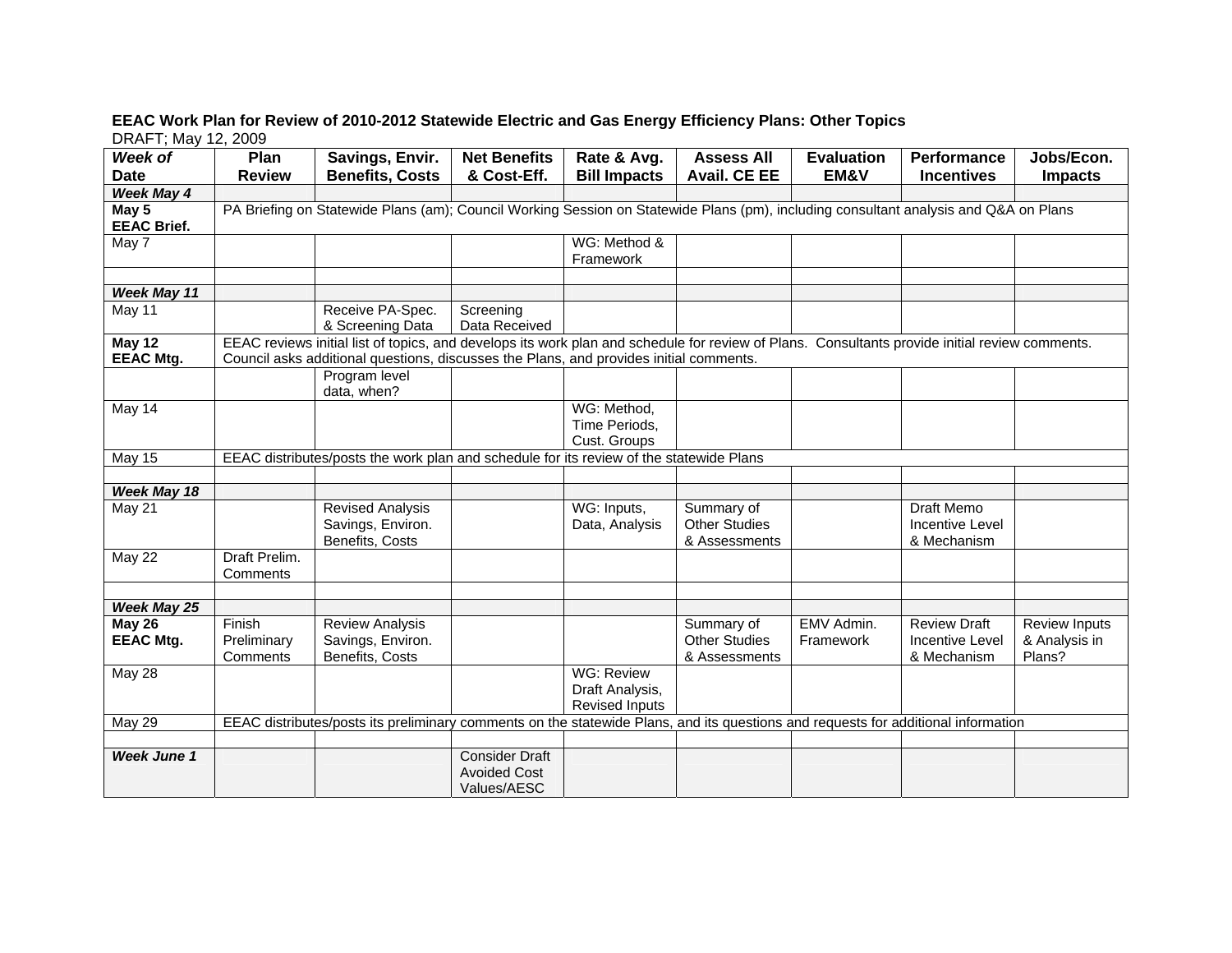## **EEAC Work Plan for Review of 2010-2012 Statewide Electric and Gas Energy Efficiency Plans: Other Topics**  DRAFT; May 12, 2009

| Week of                     | Plan                                                                                                                                                                                                                                     | Savings, Envir.                                                                                                                      | <b>Net Benefits</b>                                         | Rate & Avg.                                                   | <b>Assess All</b>                                   | <b>Evaluation</b>       | Performance                                                | Jobs/Econ.                                      |  |  |
|-----------------------------|------------------------------------------------------------------------------------------------------------------------------------------------------------------------------------------------------------------------------------------|--------------------------------------------------------------------------------------------------------------------------------------|-------------------------------------------------------------|---------------------------------------------------------------|-----------------------------------------------------|-------------------------|------------------------------------------------------------|-------------------------------------------------|--|--|
| <b>Date</b>                 | <b>Review</b>                                                                                                                                                                                                                            | <b>Benefits, Costs</b>                                                                                                               | & Cost-Eff.                                                 | <b>Bill Impacts</b>                                           | <b>Avail. CE EE</b>                                 | EM&V                    | <b>Incentives</b>                                          | <b>Impacts</b>                                  |  |  |
| <b>Week May 4</b>           |                                                                                                                                                                                                                                          |                                                                                                                                      |                                                             |                                                               |                                                     |                         |                                                            |                                                 |  |  |
| May 5<br><b>EEAC Brief.</b> |                                                                                                                                                                                                                                          | PA Briefing on Statewide Plans (am); Council Working Session on Statewide Plans (pm), including consultant analysis and Q&A on Plans |                                                             |                                                               |                                                     |                         |                                                            |                                                 |  |  |
| May 7                       |                                                                                                                                                                                                                                          |                                                                                                                                      |                                                             | WG: Method &<br>Framework                                     |                                                     |                         |                                                            |                                                 |  |  |
| <b>Week May 11</b>          |                                                                                                                                                                                                                                          |                                                                                                                                      |                                                             |                                                               |                                                     |                         |                                                            |                                                 |  |  |
| May 11                      |                                                                                                                                                                                                                                          | Receive PA-Spec.<br>& Screening Data                                                                                                 | Screening<br>Data Received                                  |                                                               |                                                     |                         |                                                            |                                                 |  |  |
| May 12<br><b>EEAC Mtg.</b>  | EEAC reviews initial list of topics, and develops its work plan and schedule for review of Plans. Consultants provide initial review comments.<br>Council asks additional questions, discusses the Plans, and provides initial comments. |                                                                                                                                      |                                                             |                                                               |                                                     |                         |                                                            |                                                 |  |  |
|                             |                                                                                                                                                                                                                                          | Program level<br>data, when?                                                                                                         |                                                             |                                                               |                                                     |                         |                                                            |                                                 |  |  |
| May 14                      |                                                                                                                                                                                                                                          |                                                                                                                                      |                                                             | WG: Method,<br>Time Periods,<br>Cust. Groups                  |                                                     |                         |                                                            |                                                 |  |  |
| May 15                      | EEAC distributes/posts the work plan and schedule for its review of the statewide Plans                                                                                                                                                  |                                                                                                                                      |                                                             |                                                               |                                                     |                         |                                                            |                                                 |  |  |
| Week May 18                 |                                                                                                                                                                                                                                          |                                                                                                                                      |                                                             |                                                               |                                                     |                         |                                                            |                                                 |  |  |
| May 21                      |                                                                                                                                                                                                                                          | <b>Revised Analysis</b><br>Savings, Environ.<br>Benefits, Costs                                                                      |                                                             | WG: Inputs,<br>Data, Analysis                                 | Summary of<br><b>Other Studies</b><br>& Assessments |                         | <b>Draft Memo</b><br><b>Incentive Level</b><br>& Mechanism |                                                 |  |  |
| May 22                      | Draft Prelim.<br>Comments                                                                                                                                                                                                                |                                                                                                                                      |                                                             |                                                               |                                                     |                         |                                                            |                                                 |  |  |
| <b>Week May 25</b>          |                                                                                                                                                                                                                                          |                                                                                                                                      |                                                             |                                                               |                                                     |                         |                                                            |                                                 |  |  |
| May 26<br><b>EEAC Mtg.</b>  | Finish<br>Preliminary<br>Comments                                                                                                                                                                                                        | <b>Review Analysis</b><br>Savings, Environ.<br>Benefits, Costs                                                                       |                                                             |                                                               | Summary of<br><b>Other Studies</b><br>& Assessments | EMV Admin.<br>Framework | <b>Review Draft</b><br>Incentive Level<br>& Mechanism      | <b>Review Inputs</b><br>& Analysis in<br>Plans? |  |  |
| May 28                      |                                                                                                                                                                                                                                          |                                                                                                                                      |                                                             | <b>WG: Review</b><br>Draft Analysis,<br><b>Revised Inputs</b> |                                                     |                         |                                                            |                                                 |  |  |
| <b>May 29</b>               |                                                                                                                                                                                                                                          | EEAC distributes/posts its preliminary comments on the statewide Plans, and its questions and requests for additional information    |                                                             |                                                               |                                                     |                         |                                                            |                                                 |  |  |
| <b>Week June 1</b>          |                                                                                                                                                                                                                                          |                                                                                                                                      | <b>Consider Draft</b><br><b>Avoided Cost</b><br>Values/AESC |                                                               |                                                     |                         |                                                            |                                                 |  |  |